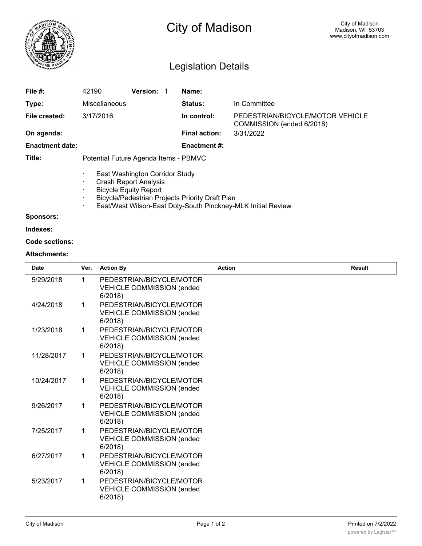

## **Sponsors:**

**Indexes:**

## **Code sections:**

## **Attachments:**

| <b>Date</b> | Ver.        | <b>Action By</b>                                                       | <b>Action</b> | <b>Result</b> |
|-------------|-------------|------------------------------------------------------------------------|---------------|---------------|
| 5/29/2018   | 1           | PEDESTRIAN/BICYCLE/MOTOR<br><b>VEHICLE COMMISSION (ended</b><br>6/2018 |               |               |
| 4/24/2018   | 1           | PEDESTRIAN/BICYCLE/MOTOR<br><b>VEHICLE COMMISSION (ended</b><br>6/2018 |               |               |
| 1/23/2018   | $\mathbf 1$ | PEDESTRIAN/BICYCLE/MOTOR<br><b>VEHICLE COMMISSION (ended</b><br>6/2018 |               |               |
| 11/28/2017  | 1           | PEDESTRIAN/BICYCLE/MOTOR<br><b>VEHICLE COMMISSION (ended</b><br>6/2018 |               |               |
| 10/24/2017  | 1           | PEDESTRIAN/BICYCLE/MOTOR<br><b>VEHICLE COMMISSION (ended</b><br>6/2018 |               |               |
| 9/26/2017   | 1           | PEDESTRIAN/BICYCLE/MOTOR<br><b>VEHICLE COMMISSION (ended</b><br>6/2018 |               |               |
| 7/25/2017   | $\mathbf 1$ | PEDESTRIAN/BICYCLE/MOTOR<br><b>VEHICLE COMMISSION (ended</b><br>6/2018 |               |               |
| 6/27/2017   | $\mathbf 1$ | PEDESTRIAN/BICYCLE/MOTOR<br><b>VEHICLE COMMISSION (ended</b><br>6/2018 |               |               |
| 5/23/2017   | $\mathbf 1$ | PEDESTRIAN/BICYCLE/MOTOR<br><b>VEHICLE COMMISSION (ended</b><br>6/2018 |               |               |